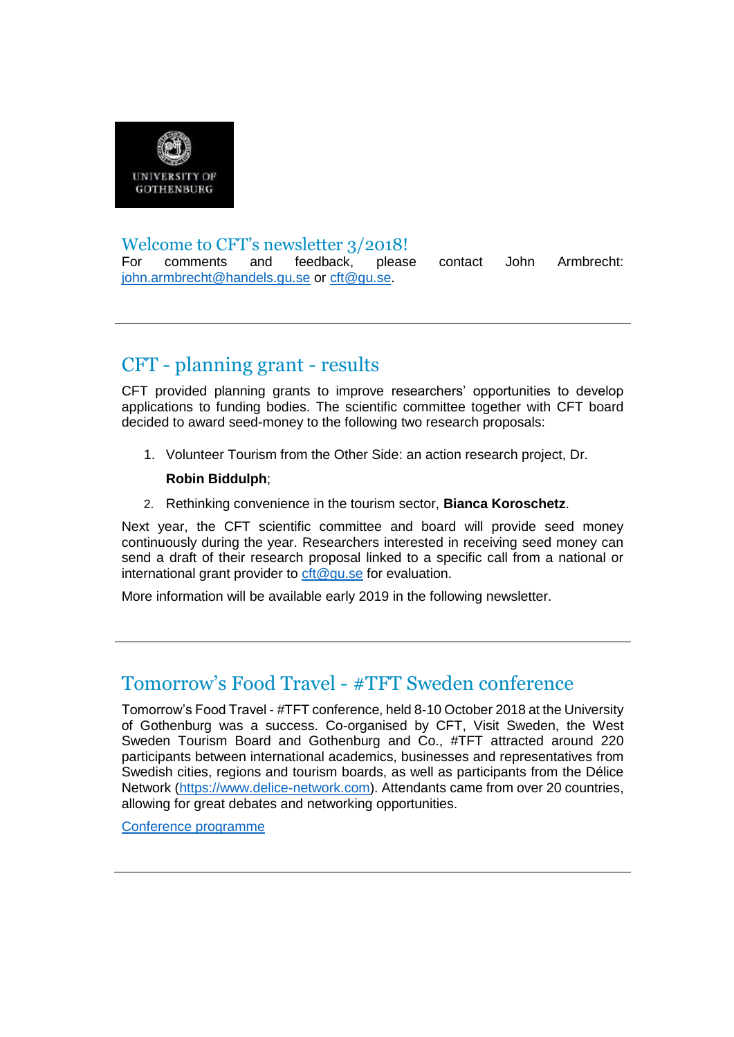

#### Welcome to CFT's newsletter 3/2018!

For comments and feedback, please contact John Armbrecht: [john.armbrecht@handels.gu.se](mailto:john.armbrecht@handels.gu.se) or [cft@gu.se.](mailto:cft@gu.se)

# CFT - planning grant - results

CFT provided planning grants to improve researchers' opportunities to develop applications to funding bodies. The scientific committee together with CFT board decided to award seed-money to the following two research proposals:

1. Volunteer Tourism from the Other Side: an action research project, Dr.

#### **Robin Biddulph**;

2. Rethinking convenience in the tourism sector, **Bianca Koroschetz**.

Next year, the CFT scientific committee and board will provide seed money continuously during the year. Researchers interested in receiving seed money can send a draft of their research proposal linked to a specific call from a national or international grant provider to [cft@gu.se](mailto:cft@gu.se) for evaluation.

More information will be available early 2019 in the following newsletter.

# Tomorrow's Food Travel - #TFT Sweden conference

Tomorrow's Food Travel - #TFT conference, held 8-10 October 2018 at the University of Gothenburg was a success. Co-organised by CFT, Visit Sweden, the West Sweden Tourism Board and Gothenburg and Co., #TFT attracted around 220 participants between international academics, businesses and representatives from Swedish cities, regions and tourism boards, as well as participants from the Délice Network [\(https://www.delice-network.com\)](https://www.delice-network.com/). Attendants came from over 20 countries, allowing for great debates and networking opportunities.

[Conference programme](https://cft.handels.gu.se/digitalAssets/1701/1701595_tft-conference-2018---final-programme.pdf)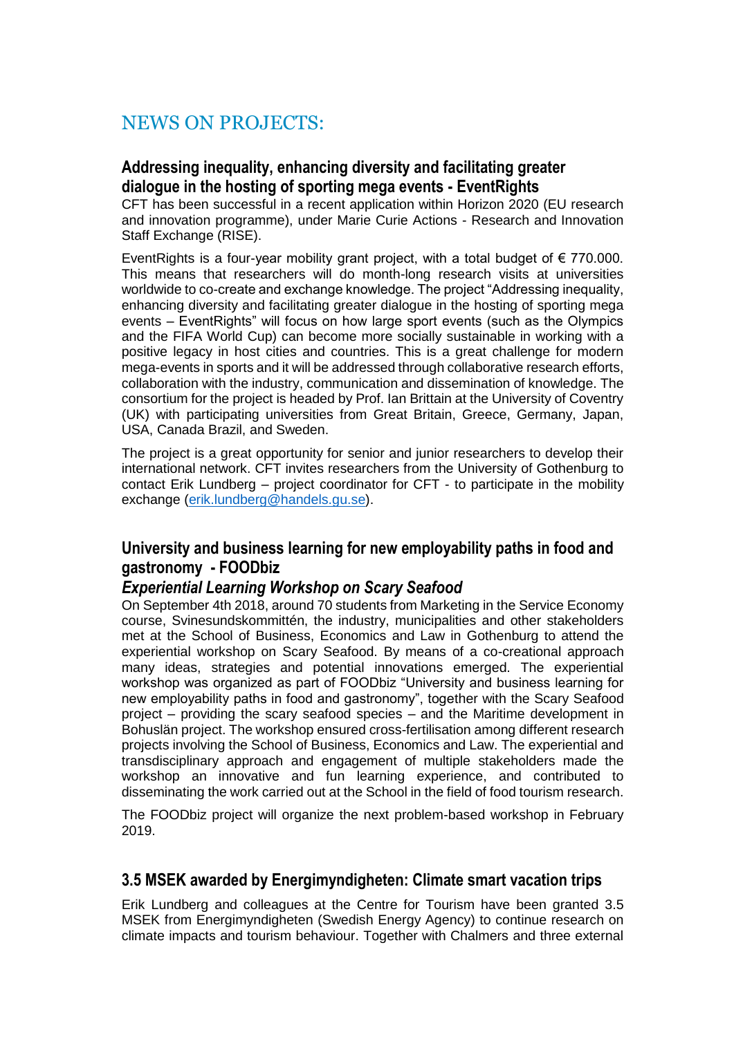# NEWS ON PROJECTS:

### **Addressing inequality, enhancing diversity and facilitating greater dialogue in the hosting of sporting mega events - EventRights**

CFT has been successful in a recent application within Horizon 2020 (EU research and innovation programme), under Marie Curie Actions - Research and Innovation Staff Exchange (RISE).

EventRights is a four-year mobility grant project, with a total budget of  $\epsilon$  770.000. This means that researchers will do month-long research visits at universities worldwide to co-create and exchange knowledge. The project "Addressing inequality, enhancing diversity and facilitating greater dialogue in the hosting of sporting mega events – EventRights" will focus on how large sport events (such as the Olympics and the FIFA World Cup) can become more socially sustainable in working with a positive legacy in host cities and countries. This is a great challenge for modern mega-events in sports and it will be addressed through collaborative research efforts, collaboration with the industry, communication and dissemination of knowledge. The consortium for the project is headed by Prof. Ian Brittain at the University of Coventry (UK) with participating universities from Great Britain, Greece, Germany, Japan, USA, Canada Brazil, and Sweden.

The project is a great opportunity for senior and junior researchers to develop their international network. CFT invites researchers from the University of Gothenburg to contact Erik Lundberg – project coordinator for CFT - to participate in the mobility exchange [\(erik.lundberg@handels.gu.](mailto:erik.lundberg@handels.gu)se).

### **University and business learning for new employability paths in food and gastronomy - FOODbiz**

### *Experiential Learning Workshop on Scary Seafood*

On September 4th 2018, around 70 students from Marketing in the Service Economy course, Svinesundskommittén, the industry, municipalities and other stakeholders met at the School of Business, Economics and Law in Gothenburg to attend the experiential workshop on Scary Seafood. By means of a co-creational approach many ideas, strategies and potential innovations emerged. The experiential workshop was organized as part of FOODbiz "University and business learning for new employability paths in food and gastronomy", together with the Scary Seafood project – providing the scary seafood species – and the Maritime development in Bohuslän project. The workshop ensured cross-fertilisation among different research projects involving the School of Business, Economics and Law. The experiential and transdisciplinary approach and engagement of multiple stakeholders made the workshop an innovative and fun learning experience, and contributed to disseminating the work carried out at the School in the field of food tourism research.

The FOODbiz project will organize the next problem-based workshop in February 2019.

### **3.5 MSEK awarded by Energimyndigheten: Climate smart vacation trips**

Erik Lundberg and colleagues at the Centre for Tourism have been granted 3.5 MSEK from Energimyndigheten (Swedish Energy Agency) to continue research on climate impacts and tourism behaviour. Together with Chalmers and three external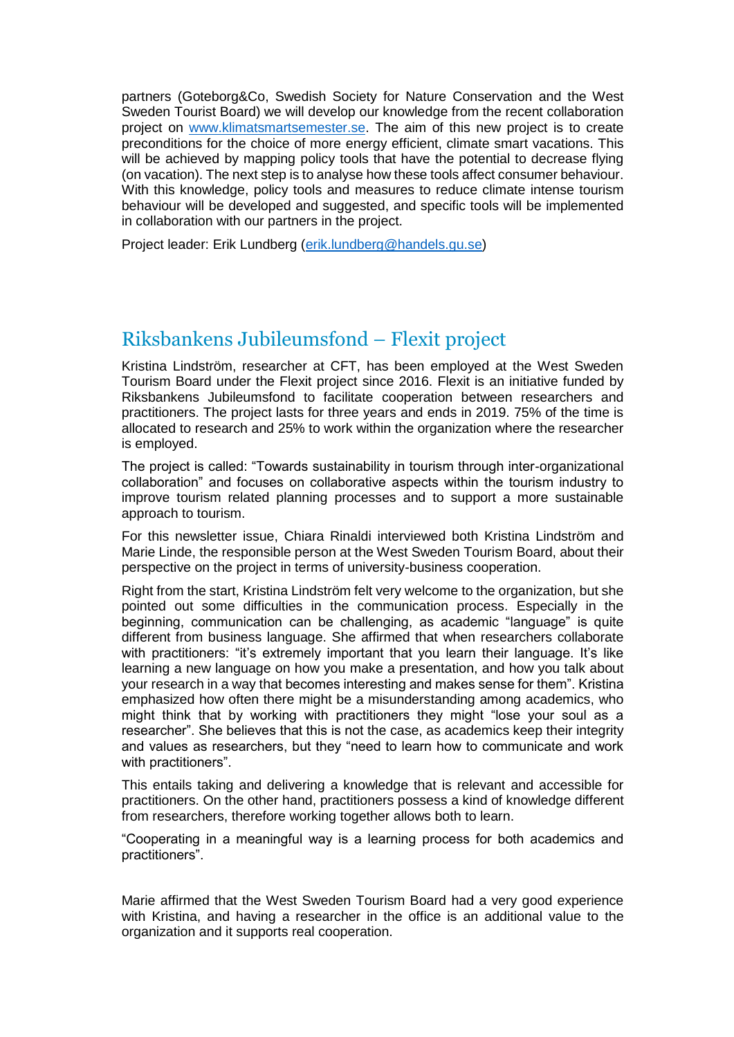partners (Goteborg&Co, Swedish Society for Nature Conservation and the West Sweden Tourist Board) we will develop our knowledge from the recent collaboration project on [www.klimatsmartsemester.se.](https://www.klimatsmartsemester.se/) The aim of this new project is to create preconditions for the choice of more energy efficient, climate smart vacations. This will be achieved by mapping policy tools that have the potential to decrease flying (on vacation). The next step is to analyse how these tools affect consumer behaviour. With this knowledge, policy tools and measures to reduce climate intense tourism behaviour will be developed and suggested, and specific tools will be implemented in collaboration with our partners in the project.

Project leader: Erik Lundberg [\(erik.lundberg@handels.gu.se\)](mailto:erik.lundberg@handels.gu.se)

# Riksbankens Jubileumsfond – Flexit project

Kristina Lindström, researcher at CFT, has been employed at the West Sweden Tourism Board under the Flexit project since 2016. Flexit is an initiative funded by Riksbankens Jubileumsfond to facilitate cooperation between researchers and practitioners. The project lasts for three years and ends in 2019. 75% of the time is allocated to research and 25% to work within the organization where the researcher is employed.

The project is called: "Towards sustainability in tourism through inter-organizational collaboration" and focuses on collaborative aspects within the tourism industry to improve tourism related planning processes and to support a more sustainable approach to tourism.

For this newsletter issue, Chiara Rinaldi interviewed both Kristina Lindström and Marie Linde, the responsible person at the West Sweden Tourism Board, about their perspective on the project in terms of university-business cooperation.

Right from the start, Kristina Lindström felt very welcome to the organization, but she pointed out some difficulties in the communication process. Especially in the beginning, communication can be challenging, as academic "language" is quite different from business language. She affirmed that when researchers collaborate with practitioners: "it's extremely important that you learn their language. It's like learning a new language on how you make a presentation, and how you talk about your research in a way that becomes interesting and makes sense for them". Kristina emphasized how often there might be a misunderstanding among academics, who might think that by working with practitioners they might "lose your soul as a researcher". She believes that this is not the case, as academics keep their integrity and values as researchers, but they "need to learn how to communicate and work with practitioners".

This entails taking and delivering a knowledge that is relevant and accessible for practitioners. On the other hand, practitioners possess a kind of knowledge different from researchers, therefore working together allows both to learn.

"Cooperating in a meaningful way is a learning process for both academics and practitioners".

Marie affirmed that the West Sweden Tourism Board had a very good experience with Kristina, and having a researcher in the office is an additional value to the organization and it supports real cooperation.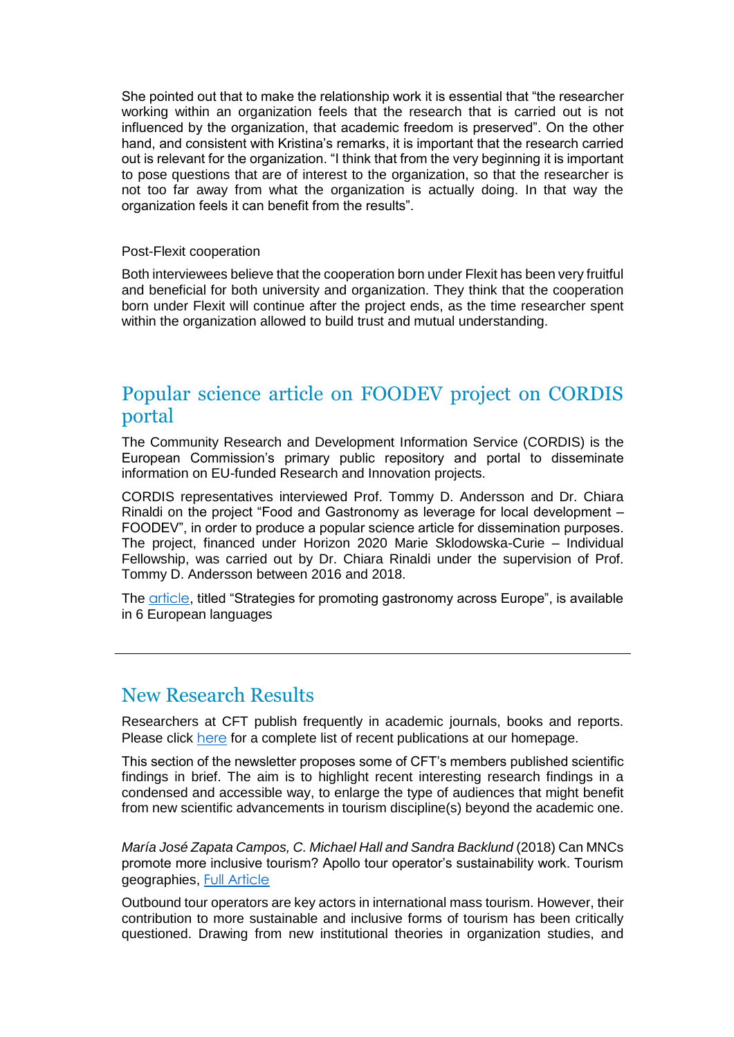She pointed out that to make the relationship work it is essential that "the researcher working within an organization feels that the research that is carried out is not influenced by the organization, that academic freedom is preserved". On the other hand, and consistent with Kristina's remarks, it is important that the research carried out is relevant for the organization. "I think that from the very beginning it is important to pose questions that are of interest to the organization, so that the researcher is not too far away from what the organization is actually doing. In that way the organization feels it can benefit from the results".

#### Post-Flexit cooperation

Both interviewees believe that the cooperation born under Flexit has been very fruitful and beneficial for both university and organization. They think that the cooperation born under Flexit will continue after the project ends, as the time researcher spent within the organization allowed to build trust and mutual understanding.

## Popular science article on FOODEV project on CORDIS portal

The Community Research and Development Information Service (CORDIS) is the European Commission's primary public repository and portal to disseminate information on EU-funded Research and Innovation projects.

CORDIS representatives interviewed Prof. Tommy D. Andersson and Dr. Chiara Rinaldi on the project "Food and Gastronomy as leverage for local development – FOODEV", in order to produce a popular science article for dissemination purposes. The project, financed under Horizon 2020 Marie Sklodowska-Curie – Individual Fellowship, was carried out by Dr. Chiara Rinaldi under the supervision of Prof. Tommy D. Andersson between 2016 and 2018.

The [article](https://cordis.europa.eu/result/rcn/240251_en.html), titled "Strategies for promoting gastronomy across Europe", is available in 6 European languages

## New Research Results

Researchers at CFT publish frequently in academic journals, books and reports. Please click [here](https://cft.handels.gu.se/english/publications) for a complete list of recent publications at our homepage.

This section of the newsletter proposes some of CFT's members published scientific findings in brief. The aim is to highlight recent interesting research findings in a condensed and accessible way, to enlarge the type of audiences that might benefit from new scientific advancements in tourism discipline(s) beyond the academic one.

*María José Zapata Campos, C. Michael Hall and Sandra Backlund* (2018) Can MNCs promote more inclusive tourism? Apollo tour operator's sustainability work. Tourism geographies, [Full Article](https://doi.org/10.1080/14616688.2018.1457074)

Outbound tour operators are key actors in international mass tourism. However, their contribution to more sustainable and inclusive forms of tourism has been critically questioned. Drawing from new institutional theories in organization studies, and